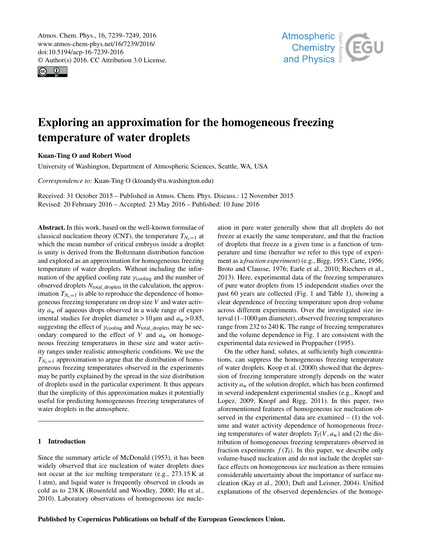<span id="page-0-0"></span>Atmos. Chem. Phys., 16, 7239–7249, 2016 www.atmos-chem-phys.net/16/7239/2016/ doi:10.5194/acp-16-7239-2016 © Author(s) 2016. CC Attribution 3.0 License.





# Exploring an approximation for the homogeneous freezing temperature of water droplets

## Kuan-Ting O and Robert Wood

University of Washington, Department of Atmospheric Sciences, Seattle, WA, USA

*Correspondence to:* Kuan-Ting O (ktoandy@u.washington.edu)

Received: 31 October 2015 – Published in Atmos. Chem. Phys. Discuss.: 12 November 2015 Revised: 20 February 2016 – Accepted: 23 May 2016 – Published: 10 June 2016

Abstract. In this work, based on the well-known formulae of classical nucleation theory (CNT), the temperature  $T_{N_c=1}$  at which the mean number of critical embryos inside a droplet is unity is derived from the Boltzmann distribution function and explored as an approximation for homogeneous freezing temperature of water droplets. Without including the information of the applied cooling rate  $\gamma_{\text{cooling}}$  and the number of observed droplets  $N_{total\_droplets}$  in the calculation, the approximation  $T_{N_c=1}$  is able to reproduce the dependence of homogeneous freezing temperature on drop size V and water activity  $a_w$  of aqueous drops observed in a wide range of experimental studies for droplet diameter  $> 10 \,\mu m$  and  $a_w > 0.85$ , suggesting the effect of  $\gamma_{\text{cooling}}$  and  $N_{\text{total\_droplets}}$  may be secondary compared to the effect of  $V$  and  $a_w$  on homogeneous freezing temperatures in these size and water activity ranges under realistic atmospheric conditions. We use the  $T_{N_c=1}$  approximation to argue that the distribution of homogeneous freezing temperatures observed in the experiments may be partly explained by the spread in the size distribution of droplets used in the particular experiment. It thus appears that the simplicity of this approximation makes it potentially useful for predicting homogeneous freezing temperatures of water droplets in the atmosphere.

#### 1 Introduction

Since the summary article of McDonald (1953), it has been widely observed that ice nucleation of water droplets does not occur at the ice melting temperature (e.g., 273.15 K at 1 atm), and liquid water is frequently observed in clouds as cold as to 238 K (Rosenfeld and Woodley, 2000; Hu et al., 2010). Laboratory observations of homogeneous ice nucleation in pure water generally show that all droplets do not freeze at exactly the same temperature, and that the fraction of droplets that freeze in a given time is a function of temperature and time (hereafter we refer to this type of experiment as a *fraction experiment*) (e.g., Bigg, 1953; Carte, 1956; Broto and Clausse, 1976; Earle et al., 2010; Riechers et al., 2013). Here, experimental data of the freezing temperatures of pure water droplets from 15 independent studies over the past 60 years are collected (Fig. 1 and Table 1), showing a clear dependence of freezing temperature upon drop volume across different experiments. Over the investigated size interval (1–1000 µm diameter), observed freezing temperatures range from 232 to 240 K. The range of freezing temperatures and the volume dependence in Fig. 1 are consistent with the experimental data reviewed in Pruppacher (1995).

On the other hand, solutes, at sufficiently high concentrations, can suppress the homogeneous freezing temperature of water droplets. Koop et al. (2000) showed that the depression of freezing temperature strongly depends on the water activity  $a_w$  of the solution droplet, which has been confirmed in several independent experimental studies (e.g., Knopf and Lopez, 2009; Knopf and Rigg, 2011). In this paper, two aforementioned features of homogeneous ice nucleation observed in the experimental data are examined  $- (1)$  the volume and water activity dependence of homogeneous freezing temperatures of water droplets  $T_f(V, a_w)$  and (2) the distribution of homogeneous freezing temperatures observed in fraction experiments  $f(T_f)$ . In this paper, we describe only volume-based nucleation and do not include the droplet surface effects on homogeneous ice nucleation as there remains considerable uncertainty about the importance of surface nucleation (Kay et al., 2003; Duft and Leisner, 2004). Unified explanations of the observed dependencies of the homoge-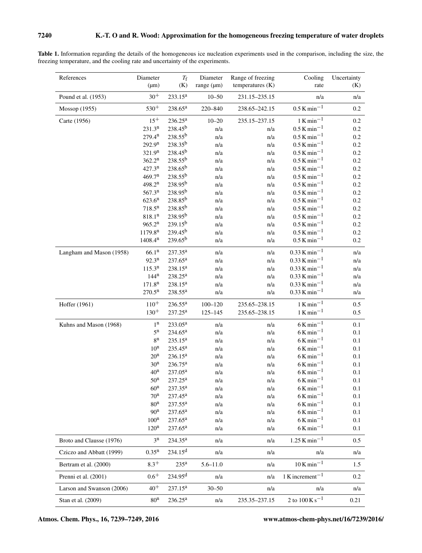| References                | Diameter            | $T_{\rm f}$         | Diameter        | Range of freezing  | Cooling                                   | Uncertainty |
|---------------------------|---------------------|---------------------|-----------------|--------------------|-------------------------------------------|-------------|
|                           | $(\mu m)$           | (K)                 | range $(\mu m)$ | temperatures $(K)$ | rate                                      | (K)         |
| Pound et al. (1953)       | $30^{+}$            | $233.15^a$          | $10 - 50$       | 231.15-235.15      | n/a                                       | n/a         |
| Mossop (1955)             | $530^{+}$           | $238.65^a$          | 220-840         | 238.65-242.15      | $0.5$ K min <sup>-1</sup>                 | 0.2         |
| Carte (1956)              | $15^{+}$            | 236.25 <sup>a</sup> | $10 - 20$       | 235.15-237.15      | $1$ K min <sup>-1</sup>                   | 0.2         |
|                           | 231.3 <sup>n</sup>  | 238.45 <sup>b</sup> | n/a             | n/a                | $0.5 K min^{-1}$                          | 0.2         |
|                           | 279.4 <sup>n</sup>  | $238.55^{b}$        | n/a             | n/a                | $0.5 K min^{-1}$                          | 0.2         |
|                           | 292.9 <sup>n</sup>  | $238.35^{b}$        | n/a             | n/a                | $0.5 K min^{-1}$                          | 0.2         |
|                           | 321.9 <sup>n</sup>  | $238.45^{b}$        | n/a             | n/a                | $0.5 K min^{-1}$                          | 0.2         |
|                           | 362.2 <sup>n</sup>  | $238.55^{b}$        | n/a             | n/a                | $0.5$ K $\rm{min}^{-1}$                   | 0.2         |
|                           | 427.3 <sup>n</sup>  | $238.65^{b}$        | n/a             | n/a                | $0.5$ K min <sup>-1</sup>                 | 0.2         |
|                           | 469.7 <sup>n</sup>  | 238.55 <sup>b</sup> | n/a             | n/a                | $0.5$ K min <sup>-1</sup>                 | 0.2         |
|                           | 498.2 <sup>n</sup>  | $238.95^{b}$        | n/a             | n/a                | $0.5 K min^{-1}$                          | 0.2         |
|                           | 567.3 <sup>n</sup>  | $238.95^{b}$        | n/a             | n/a                | $0.5 K min^{-1}$                          | 0.2         |
|                           | 623.6 <sup>n</sup>  | 238.85 <sup>b</sup> | n/a             | n/a                | $0.5 K min^{-1}$                          | 0.2         |
|                           | 718.5 <sup>n</sup>  | 238.85 <sup>b</sup> | n/a             | n/a                | $0.5 K min^{-1}$                          | 0.2         |
|                           | 818.1 <sup>n</sup>  | 238.95 <sup>b</sup> | n/a             | n/a                | $0.5 K min^{-1}$                          | 0.2         |
|                           | 965.2 <sup>n</sup>  | $239.15^{b}$        | n/a             | n/a                | $0.5 K min^{-1}$                          | 0.2         |
|                           | 1179.8 <sup>n</sup> | $239.45^{b}$        | n/a             | n/a                | $0.5$ K min <sup>-1</sup>                 | $0.2\,$     |
|                           | 1408.4 <sup>n</sup> | $239.65^{b}$        | n/a             | n/a                | $0.5 K min^{-1}$                          | 0.2         |
| Langham and Mason (1958)  | 66.1 <sup>n</sup>   | 237.35 <sup>a</sup> | n/a             | n/a                | $0.33$ K min <sup>-1</sup>                | n/a         |
|                           | 92.3 <sup>n</sup>   | 237.65 <sup>a</sup> | n/a             | n/a                | $0.33$ K min <sup>-1</sup>                | n/a         |
|                           | 115.3 <sup>n</sup>  | 238.15 <sup>a</sup> | n/a             | n/a                | $0.33$ K min <sup>-1</sup>                | n/a         |
|                           | 144 <sup>n</sup>    | 238.25 <sup>a</sup> | n/a             | n/a                | $0.33$ K min <sup>-1</sup>                | n/a         |
|                           | 171.8 <sup>n</sup>  | $238.15^a$          | n/a             | n/a                | $0.33$ K min <sup>-1</sup>                | n/a         |
|                           | 270.5 <sup>n</sup>  | 238.55 <sup>a</sup> | n/a             | n/a                | $0.33$ K min <sup>-1</sup>                | n/a         |
| Hoffer (1961)             | $110^{+}$           | $236.55^a$          | $100 - 120$     | 235.65-238.15      | $1$ K min <sup>-1</sup>                   | 0.5         |
|                           | $130^{+}$           | $237.25^a$          | $125 - 145$     | 235.65-238.15      | $1$ K min <sup>-1</sup>                   | 0.5         |
| Kuhns and Mason (1968)    | 1 <sup>n</sup>      | 233.05 <sup>a</sup> | n/a             | n/a                | $6\,\rm K\,min^{-1}$                      | 0.1         |
|                           | $5^n$               | 234.65 <sup>a</sup> | n/a             | n/a                | $6$ K min <sup>-1</sup>                   | 0.1         |
|                           | $8^{\rm n}$         | $235.15^a$          | n/a             | n/a                | $6$ K min <sup>-1</sup>                   | 0.1         |
|                           | $10^n$              | $235.45^{\rm a}$    | n/a             | n/a                | $6$ K min <sup>-1</sup>                   | 0.1         |
|                           | 20 <sup>n</sup>     | $236.15^a$          | n/a             | n/a                | $6$ K min <sup>-1</sup>                   | 0.1         |
|                           | 30 <sup>n</sup>     | 236.75 <sup>a</sup> | n/a             | n/a                | $6$ K min <sup>-1</sup>                   | 0.1         |
|                           | 40 <sup>n</sup>     | 237.05 <sup>a</sup> | n/a             | n/a                | $6$ K min <sup>-1</sup>                   | 0.1         |
|                           | 50 <sup>n</sup>     | $237.25^a$          | n/a             | n/a                | $6$ K min <sup>-1</sup>                   | 0.1         |
|                           | 60 <sup>n</sup>     | $237.35^a$          | n/a             | n/a                | $6$ K min <sup>-1</sup>                   | 0.1         |
|                           | 70 <sup>n</sup>     | $237.45^{\rm a}$    | n/a             | n/a                | $6$ K min <sup>-1</sup>                   | 0.1         |
|                           | 80 <sup>n</sup>     | $237.55^{\rm a}$    | n/a             | n/a                | $6$ K min <sup>-1</sup>                   | 0.1         |
|                           | 90 <sup>n</sup>     | $237.65^{\rm a}$    | n/a             | n/a                | $6$ K min <sup>-1</sup>                   | 0.1         |
|                           | 100 <sup>n</sup>    | $237.65^{\rm a}$    | n/a             | n/a                | $6$ K min <sup>-1</sup>                   | 0.1         |
|                           | 120 <sup>n</sup>    | $237.65^{\rm a}$    | n/a             | n/a                | $6$ K min <sup>-1</sup>                   | 0.1         |
| Broto and Clausse (1976)  | $3^n$               | 234.35 <sup>a</sup> | n/a             | n/a                | $1.25$ K min <sup>-1</sup>                | 0.5         |
| Cziczo and Abbatt (1999)  | $0.35^n$            | $234.15^{d}$        | n/a             | n/a                | n/a                                       | n/a         |
| Bertram et al. (2000)     | $8.3^{+}$           | 235 <sup>a</sup>    | $5.6 - 11.0$    | n/a                | $10$ K min <sup>-1</sup>                  | 1.5         |
| Prenni et al. (2001)      | $0.6^{+}$           | 234.95 <sup>d</sup> | n/a             | n/a                | $1$ K increment <sup>-1</sup>             | 0.2         |
| Larson and Swanson (2006) | $40^{+}$            | 237.15 <sup>a</sup> | $30 - 50$       | n/a                | n/a                                       | n/a         |
| Stan et al. (2009)        | 80 <sup>n</sup>     | $236.25^{\rm a}$    | n/a             | 235.35-237.15      | 2 to $100 \,\mathrm{K} \,\mathrm{s}^{-1}$ | 0.21        |

Table 1. Information regarding the details of the homogeneous ice nucleation experiments used in the comparison, including the size, the freezing temperature, and the cooling rate and uncertainty of the experiments.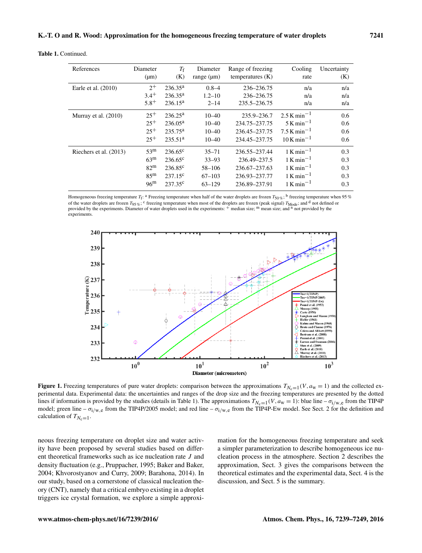Table 1. Continued.

| References             | Diameter<br>$(\mu m)$ | $T_{\rm f}$<br>(K)  | Diameter<br>range $(\mu m)$ | Range of freezing<br>temperatures $(K)$ | Cooling<br>rate           | Uncertainty<br>(K) |
|------------------------|-----------------------|---------------------|-----------------------------|-----------------------------------------|---------------------------|--------------------|
| Earle et al. $(2010)$  | $2^{+}$               | $236.35^{\rm a}$    | $0.8 - 4$                   | 236-236.75                              | n/a                       | n/a                |
|                        | $3.4^{+}$             | $236.35^{\rm a}$    | $1.2 - 10$                  | 236-236.75                              | n/a                       | n/a                |
|                        | $5.8^{+}$             | $236.15^a$          | $2 - 14$                    | 235.5-236.75                            | n/a                       | n/a                |
| Murray et al. $(2010)$ | $25^{+}$              | $236.25^{\rm a}$    | $10 - 40$                   | 235.9–236.7                             | $2.5$ K min <sup>-1</sup> | 0.6                |
|                        | $25^{+}$              | $236.05^a$          | $10 - 40$                   | 234.75-237.75                           | $5$ K min <sup>-1</sup>   | 0.6                |
|                        | $25^{+}$              | $235.75^{\rm a}$    | $10 - 40$                   | 236.45-237.75                           | $7.5$ K min <sup>-1</sup> | 0.6                |
|                        | $25^{+}$              | 235.51 <sup>a</sup> | $10 - 40$                   | 234.45-237.75                           | $10 K min^{-1}$           | 0.6                |
| Riechers et al. (2013) | 53 <sup>m</sup>       | $236.65^{\circ}$    | $35 - 71$                   | 236.55-237.44                           | $1$ K min <sup>-1</sup>   | 0.3                |
|                        | 63 <sup>m</sup>       | $236.65^{\circ}$    | $33 - 93$                   | 236.49-237.5                            | $1$ K min <sup>-1</sup>   | 0.3                |
|                        | 82 <sup>m</sup>       | $236.85^{\circ}$    | 58-106                      | 236.67-237.63                           | $1$ K min <sup>-1</sup>   | 0.3                |
|                        | 85 <sup>m</sup>       | $237.15^{\circ}$    | $67 - 103$                  | 236.93-237.77                           | $1$ K min <sup>-1</sup>   | 0.3                |
|                        | 96 <sup>m</sup>       | $237.35^{\circ}$    | $63 - 129$                  | 236.89-237.91                           | $1$ K min <sup>-1</sup>   | 0.3                |

Homogeneous freezing temperature  $T_f$ : <sup>a</sup> Freezing temperature when half of the water droplets are frozen  $T_{50\%}$ ; <sup>b</sup> freezing temperature when 95 % of the water droplets are frozen  $T_{95\%}$ ; <sup>c</sup> freezing temperature when most of the droplets are frozen (peak signal)  $T_{\text{Mode}}$ ; and <sup>d</sup> not defined or provided by the experiments. Diameter of water droplets used in the experiments:  $+$  median size; m mean size; and n not provided by the experiments.



**Figure 1.** Freezing temperatures of pure water droplets: comparison between the approximations  $T_{N_c=1}(V, a_w = 1)$  and the collected experimental data. Experimental data: the uncertainties and ranges of the drop size and the freezing temperatures are presented by the dotted lines if information is provided by the studies (details in Table 1). The approximations  $T_{N_c=1}(V, a_w = 1)$ : blue line  $-\sigma_{i/w,e}$  from the TIP4P model; green line  $-\sigma_{i/w,e}$  from the TIP4P/2005 model; and red line  $-\sigma_{i/w,e}$  from the TIP4P-Ew model. See Sect. 2 for the definition and calculation of  $T_{N_c=1}$ .

neous freezing temperature on droplet size and water activity have been proposed by several studies based on different theoretical frameworks such as ice nucleation rate J and density fluctuation (e.g., Pruppacher, 1995; Baker and Baker, 2004; Khvorostyanov and Curry, 2009; Barahona, 2014). In our study, based on a cornerstone of classical nucleation theory (CNT), namely that a critical embryo existing in a droplet triggers ice crystal formation, we explore a simple approximation for the homogeneous freezing temperature and seek a simpler parameterization to describe homogeneous ice nucleation process in the atmosphere. Section 2 describes the approximation, Sect. 3 gives the comparisons between the theoretical estimates and the experimental data, Sect. 4 is the discussion, and Sect. 5 is the summary.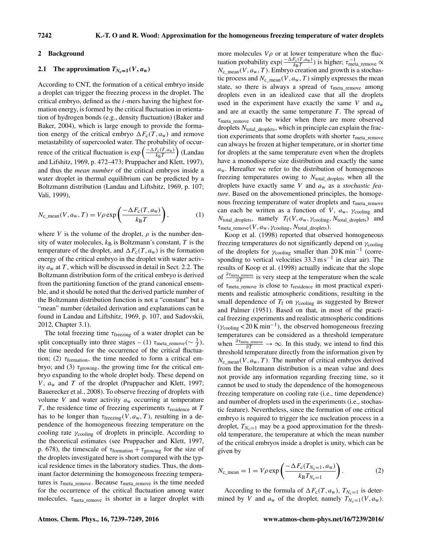#### 2 Background

## 2.1 The approximation  $T_{N_c=1}(V, a_w)$

According to CNT, the formation of a critical embryo inside a droplet can trigger the freezing process in the droplet. The critical embryo, defined as the  $i$ -mers having the highest formation energy, is formed by the critical fluctuation in orientation of hydrogen bonds (e.g., density fluctuation) (Baker and Baker, 2004), which is large enough to provide the formation energy of the critical embryo  $\Delta F_c(T, a_w)$  and remove metastability of supercooled water. The probability of occurrence of the critical fluctuation is  $\exp\left(\frac{-\Delta F_c(T, a_w)}{k \cdot r}\right)$  $\frac{F_c(T,a_w)}{k_BT}$  (Landau and Lifshitz, 1969, p. 472–473; Pruppacher and Klett, 1997), and thus the *mean number* of the critical embryos inside a water droplet in thermal equilibrium can be predicted by a Boltzmann distribution (Landau and Liftshitz, 1969, p. 107; Vali, 1999),

$$
N_{\rm c\_mean}(V, a_{\rm w}, T) = V \rho \exp\left(\frac{-\Delta F_{\rm c}(T, a_{\rm w})}{k_{\rm B}T}\right),\tag{1}
$$

where V is the volume of the droplet,  $\rho$  is the number density of water molecules,  $k_B$  is Boltzmann's constant, T is the temperature of the droplet, and  $\Delta F_c(T, a_w)$  is the formation energy of the critical embryo in the droplet with water activity  $a_w$  at T, which will be discussed in detail in Sect. 2.2. The Boltzmann distribution form of the critical embryo is derived from the partitioning function of the grand canonical ensemble, and it should be noted that the derived particle number of the Boltzmann distribution function is not a "constant" but a "mean" number (detailed derivation and explanations can be found in Landau and Liftshitz, 1969, p. 107, and Sadovskii, 2012, Chapter 3.1).

The total freezing time  $\tau_{\text{freezing}}$  of a water droplet can be split conceptually into three stages – (1)  $\tau_{meta\_remove}$  ( $\sim \frac{1}{J}$ ), the time needed for the occurrence of the critical fluctuation; (2)  $\tau_{formation}$ , the time needed to form a critical embryo; and (3)  $\tau_{\text{growing}}$ , the growing time for the critical embryo expanding to the whole droplet body. These depend on  $V$ ,  $a_w$  and  $T$  of the droplet (Pruppacher and Klett, 1997; Bauerecker et al., 2008). To observe freezing of droplets with volume V and water activity  $a_w$  occurring at temperature T, the residence time of freezing experiments  $\tau_{residence}$  at T has to be longer than  $\tau_{\text{freezing}}(V, a_{w}, T)$ , resulting in a dependence of the homogeneous freezing temperature on the cooling rate  $\gamma_{\text{cooling}}$  of droplets in principle. According to the theoretical estimates (see Pruppacher and Klett, 1997, p. 678), the timescale of  $\tau_{formation} + \tau_{growing}$  for the size of the droplets investigated here is short compared with the typical residence times in the laboratory studies. Thus, the dominant factor determining the homogeneous freezing temperatures is  $\tau_{\text{meta\_remove}}$ . Because  $\tau_{\text{meta\_remove}}$  is the time needed for the occurrence of the critical fluctuation among water molecules,  $\tau_{\text{meta\_remove}}$  is shorter in a larger droplet with more molecules  $V\rho$  or at lower temperature when the fluctuation probability  $exp(\frac{-\Delta F_c(T, a_w)}{k_B T})$  $\frac{F_c(T, a_w)}{k_B T}$ ) is higher;  $\tau_{\text{meta\_remove}}^{-1} \propto \frac{1}{k_B T}$  $N_{\rm c\_mean}(V, a_{\rm w}, T)$ . Embryo creation and growth is a stochastic process and  $N_{c_{\text{mean}}}(V, a_{w}, T)$  simply expresses the mean state, so there is always a spread of  $\tau_{meta\_remove}$  among droplets even in an idealized case that all the droplets used in the experiment have exactly the same V and  $a_w$ and are at exactly the same temperature  $T$ . The spread of  $\tau_{meta}$  remove can be wider when there are more observed droplets  $N_{total\ droplets}$ , which in principle can explain the fraction experiments that some droplets with shorter  $\tau_{\text{meta\_remove}}$ can always be frozen at higher temperature, or in shorter time for droplets at the same temperature even when the droplets have a monodisperse size distribution and exactly the same  $a<sub>w</sub>$ . Hereafter we refer to the distribution of homogeneous freezing temperatures owing to  $N_{total\_droplets}$  when all the droplets have exactly same V and a<sup>w</sup> as a *stochastic feature*. Based on the abovementioned principles, the homogenous freezing temperature of water droplets and  $\tau_{\text{meta}}$  remove can each be written as a function of V,  $a_w$ ,  $\gamma_{\text{cooling}}$  and  $N_{\text{total\_droplets}}$ , namely  $T_f(V, a_w, \gamma_{\text{cooling}}, N_{\text{total\_droplets}})$  and  $\tau_{\text{meta\_remove}}(V, a_{\text{w}}, \gamma_{\text{cooling}}, N_{\text{total\_droplets}}).$ 

Koop et al. (1998) reported that observed homogeneous freezing temperatures do not significantly depend on  $\gamma_{\text{cooling}}$ of the droplets for  $\gamma_{\text{cooling}}$  smaller than 20 K min<sup>-1</sup> (corresponding to vertical velocities  $33.3 \text{ m s}^{-1}$  in clear air). The results of Koop et al. (1998) actually indicate that the slope of  $\frac{\partial \tau_{\text{meta-remove}}}{\partial T}$  is very steep at the temperature when the scale of  $\tau_{\text{meta\_remove}}$  is close to  $\tau_{\text{residence}}$  in most practical experiments and realistic atmospheric conditions, resulting in the small dependence of  $T_f$  on  $\gamma_{\text{cooling}}$  as suggested by Brewer and Palmer (1951). Based on that, in most of the practical freezing experiments and realistic atmospheric conditions  $(\gamma_{\text{cooling}} < 20 \text{ K min}^{-1})$ , the observed homogeneous freezing temperatures can be considered as a threshold temperature when  $\frac{\partial \tau_{\text{meta\_remove}}}{\partial T} \to \infty$ . In this study, we intend to find this threshold temperature directly from the information given by  $N_{\rm cmean}(V, a_{\rm w}, T)$ . The number of critical embryos derived from the Boltzmann distribution is a mean value and does not provide any information regarding freezing time, so it cannot be used to study the dependence of the homogeneous freezing temperature on cooling rate (i.e., time dependence) and number of droplets used in the experiments (i.e., stochastic feature). Nevertheless, since the formation of one critical embryo is required to trigger the ice nucleation process in a droplet,  $T_{N_c=1}$  may be a good approximation for the threshold temperature, the temperature at which the mean number of the critical embryos inside a droplet is unity, which can be given by

$$
N_{\rm c\_mean} = 1 = V \rho \exp\left(\frac{-\Delta F_{\rm c}(T_{N_{\rm c}=1}, a_{\rm w})}{k_{\rm B} T_{N_{\rm c}=1}}\right).
$$
 (2)

According to the formula of  $\Delta F_c(T, a_w)$ ,  $T_{N_c=1}$  is determined by V and  $a_w$  of the droplet, namely  $T_{N_c=1}(V, a_w)$ .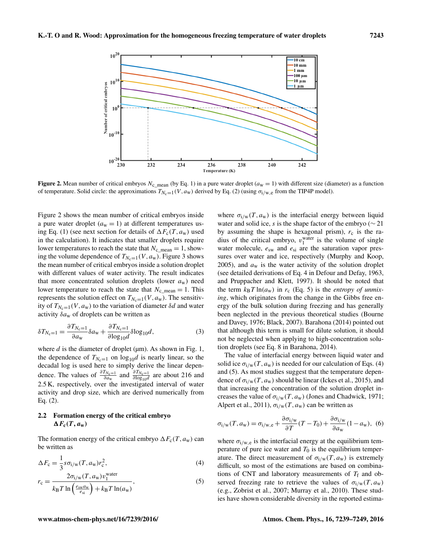

Figure 2. Mean number of critical embryos  $N_c$  mean (by Eq. 1) in a pure water droplet ( $a_w = 1$ ) with different size (diameter) as a function of temperature. Solid circle: the approximations  $T_{N_c=1}(V, a_w)$  derived by Eq. (2) (using  $\sigma_{i/w,e}$  from the TIP4P model).

Figure 2 shows the mean number of critical embryos inside a pure water droplet  $(a_w = 1)$  at different temperatures using Eq. (1) (see next section for details of  $\Delta F_c(T, a_w)$  used in the calculation). It indicates that smaller droplets require lower temperatures to reach the state that  $N_{c\_mean} = 1$ , showing the volume dependence of  $T_{N_c=1}(V, a_w)$ . Figure 3 shows the mean number of critical embryos inside a solution droplet with different values of water activity. The result indicates that more concentrated solution droplets (lower  $a_w$ ) need lower temperature to reach the state that  $N_c$  <sub>mean</sub> = 1. This represents the solution effect on  $T_{N_c=1}(V, a_w)$ . The sensitivity of  $T_{N_c=1}(V, a_w)$  to the variation of diameter  $\delta d$  and water activity  $\delta a_w$  of droplets can be written as

$$
\delta T_{N_{\rm c}=1} = \frac{\partial T_{N_{\rm c}=1}}{\partial a_{\rm w}} \delta a_{\rm w} + \frac{\partial T_{N_{\rm c}=1}}{\partial \log_{10} d} \delta \log_{10} d,\tag{3}
$$

where  $d$  is the diameter of droplet ( $\mu$ m). As shown in Fig. 1, the dependence of  $T_{N_c=1}$  on log<sub>10</sub>d is nearly linear, so the decadal log is used here to simply derive the linear dependence. The values of  $\frac{\partial T_{N_c=1}}{\partial a_w}$  and  $\frac{\partial T_{N_c=1}}{\partial \log_{10} d}$  are about 216 and 2.5 K, respectively, over the investigated interval of water activity and drop size, which are derived numerically from Eq. (2).

## 2.2 Formation energy of the critical embryo  $\Delta F_{\rm c}(T, a_{\rm w})$

The formation energy of the critical embryo  $\Delta F_c(T, a_w)$  can be written as

$$
\Delta F_{\rm c} = \frac{1}{3} s \sigma_{\rm i/w}(T, a_{\rm w}) r_{\rm c}^2,\tag{4}
$$

$$
r_{\rm c} = \frac{2\sigma_{\rm i/w}(T, a_{\rm w})v_1^{\rm water}}{k_{\rm B}T\ln\left(\frac{e_{\rm sw}a_{\rm w}}{e_{\rm si}}\right) + k_{\rm B}T\ln(a_{\rm w})},\tag{5}
$$

where  $\sigma_{i/w}(T, a_w)$  is the interfacial energy between liquid water and solid ice, s is the shape factor of the embryo ( $\sim$  21 by assuming the shape is hexagonal prism),  $r_c$  is the radius of the critical embryo,  $v_1^{\text{water}}$  is the volume of single water molecule,  $e_{sw}$  and  $e_{si}$  are the saturation vapor pressures over water and ice, respectively (Murphy and Koop, 2005), and  $a_w$  is the water activity of the solution droplet (see detailed derivations of Eq. 4 in Defour and Defay, 1963, and Pruppacher and Klett, 1997). It should be noted that the term  $k_B T \ln(a_w)$  in  $r_c$  (Eq. 5) is the *entropy of unmixing*, which originates from the change in the Gibbs free energy of the bulk solution during freezing and has generally been neglected in the previous theoretical studies (Bourne and Davey, 1976; Black, 2007). Barahona (2014) pointed out that although this term is small for dilute solution, it should not be neglected when applying to high-concentration solution droplets (see Eq. 8 in Barahona, 2014).

The value of interfacial energy between liquid water and solid ice  $\sigma_{i/w}(T, a_w)$  is needed for our calculation of Eqs. (4) and (5). As most studies suggest that the temperature dependence of  $\sigma_{i/w}(T, a_w)$  should be linear (Ickes et al., 2015), and that increasing the concentration of the solution droplet increases the value of  $\sigma_{i/w}(T, a_w)$  (Jones and Chadwick, 1971; Alpert et al., 2011),  $\sigma_{i/w}(T, a_w)$  can be written as

$$
\sigma_{i/w}(T, a_w) = \sigma_{i/w, e} + \frac{\partial \sigma_{i/w}}{\partial T}(T - T_0) + \frac{\partial \sigma_{i/w}}{\partial a_w}(1 - a_w), \tag{6}
$$

where  $\sigma_{i/w,e}$  is the interfacial energy at the equilibrium temperature of pure ice water and  $T_0$  is the equilibrium temperature. The direct measurement of  $\sigma_{i/w}(T, a_w)$  is extremely difficult, so most of the estimations are based on combinations of CNT and laboratory measurements of  $T_f$  and observed freezing rate to retrieve the values of  $\sigma_{i/w}(T, a_w)$ (e.g., Zobrist et al., 2007; Murray et al., 2010). These studies have shown considerable diversity in the reported estima-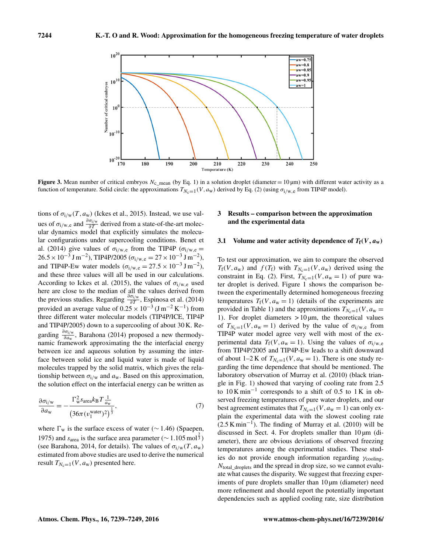

Figure 3. Mean number of critical embryos  $N_c$  mean (by Eq. 1) in a solution droplet (diameter = 10 µm) with different water activity as a function of temperature. Solid circle: the approximations  $T_{N_c=1}(V, a_w)$  derived by Eq. (2) (using  $\sigma_{i/w,e}$  from TIP4P model).

tions of  $\sigma_{i/w}(T, a_w)$  (Ickes et al., 2015). Instead, we use values of  $\sigma_{1/w,e}$  and  $\frac{\partial \sigma_{i/w}}{\partial T}$  derived from a state-of-the-art molecular dynamics model that explicitly simulates the molecular configurations under supercooling conditions. Benet et al. (2014) give values of  $\sigma_{i/w,e}$  from the TIP4P ( $\sigma_{i/w,e}$  =  $26.5 \times 10^{-3}$  J m<sup>-2</sup>), TIP4P/2005 ( $\sigma_{i/w,e} = 27 \times 10^{-3}$  J m<sup>-2</sup>), and TIP4P-Ew water models  $(\sigma_{i/w,e} = 27.5 \times 10^{-3} \,\text{J m}^{-2})$ , and these three values will all be used in our calculations. According to Ickes et al. (2015), the values of  $\sigma_{i/w,e}$  used here are close to the median of all the values derived from the previous studies. Regarding  $\frac{\partial \sigma_{i/w}}{\partial T}$ , Espinosa et al. (2014) provided an average value of  $0.25 \times 10^{-3}$  (J m<sup>-2</sup> K<sup>-1</sup>) from three different water molecular models (TIP4P/ICE, TIP4P and TIP4P/2005) down to a supercooling of about 30 K. Regarding  $\frac{\partial \sigma_{i/w}}{\partial a_w}$ , Barahona (2014) proposed a new thermodynamic framework approximating the the interfacial energy between ice and aqueous solution by assuming the interface between solid ice and liquid water is made of liquid molecules trapped by the solid matrix, which gives the relationship between  $\sigma_{i/w}$  and  $a_w$ . Based on this approximation, the solution effect on the interfacial energy can be written as

$$
\frac{\partial \sigma_{i/w}}{\partial a_w} = -\frac{\Gamma_w^2 s_{\text{area}} k_B T \frac{1}{a_w}}{\left(36\pi (v_1^{\text{water}})^2\right)^{\frac{1}{3}}},\tag{7}
$$

where  $\Gamma_w$  is the surface excess of water ( $\sim$  1.46) (Spaepen, 1975) and  $s_{\text{area}}$  is the surface area parameter ( $\sim 1.105 \text{ mol}^{\frac{2}{3}}$ ) (see Barahona, 2014, for details). The values of  $\sigma_{i/w}(T, a_w)$ estimated from above studies are used to derive the numerical result  $T_{N_c=1}(V, a_w)$  presented here.

#### 3 Results – comparison between the approximation and the experimental data

#### 3.1 Volume and water activity dependence of  $T_f(V, a_w)$

To test our approximation, we aim to compare the observed  $T_f(V, a_w)$  and  $f(T_f)$  with  $T_{N_c=1}(V, a_w)$  derived using the constraint in Eq. (2). First,  $T_{N_c=1}(V, a_w = 1)$  of pure water droplet is derived. Figure 1 shows the comparison between the experimentally determined homogeneous freezing temperatures  $T_f(V, a_w = 1)$  (details of the experiments are provided in Table 1) and the approximations  $T_{N_c=1}(V, a_w =$ 1). For droplet diameters  $> 10 \mu m$ , the theoretical values of  $T_{N_c=1}(V, a_w = 1)$  derived by the value of  $\sigma_{i/w,e}$  from TIP4P water model agree very well with most of the experimental data  $T_f(V, a_w = 1)$ . Using the values of  $\sigma_{i/w,e}$ from TIP4P/2005 and TIP4P-Ew leads to a shift downward of about 1–2 K of  $T_{N_c=1}(V, a_w = 1)$ . There is one study regarding the time dependence that should be mentioned. The laboratory observation of Murray et al. (2010) (black triangle in Fig. 1) showed that varying of cooling rate from 2.5 to 10 K min−<sup>1</sup> corresponds to a shift of 0.5 to 1 K in observed freezing temperatures of pure water droplets, and our best agreement estimates that  $T_{N_c=1}(V, a_w = 1)$  can only explain the experimental data with the slowest cooling rate  $(2.5 \text{ K min}^{-1})$ . The finding of Murray et al. (2010) will be discussed in Sect. 4. For droplets smaller than  $10 \mu m$  (diameter), there are obvious deviations of observed freezing temperatures among the experimental studies. These studies do not provide enough information regarding  $\gamma_{\text{cooling}}$ , Ntotal\_droplets and the spread in drop size, so we cannot evaluate what causes the disparity. We suggest that freezing experiments of pure droplets smaller than 10  $\mu$ m (diameter) need more refinement and should report the potentially important dependencies such as applied cooling rate, size distribution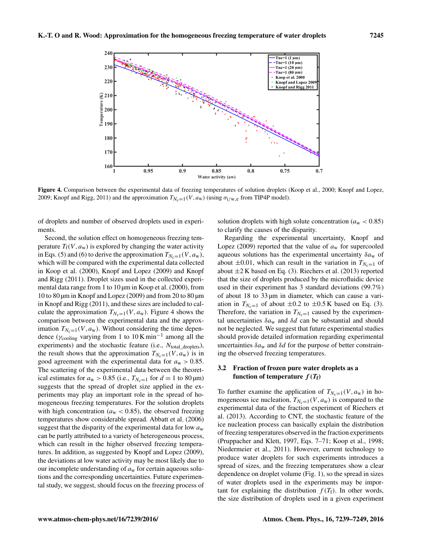

Figure 4. Comparison between the experimental data of freezing temperatures of solution droplets (Koop et al., 2000; Knopf and Lopez, 2009; Knopf and Rigg, 2011) and the approximation  $T_{N_c=1}(V, a_w)$  (using  $\sigma_{i/w,e}$  from TIP4P model).

of droplets and number of observed droplets used in experiments.

Second, the solution effect on homogeneous freezing temperature  $T_f(V, a_w)$  is explored by changing the water activity in Eqs. (5) and (6) to derive the approximation  $T_{N_c=1}(V, a_w)$ , which will be compared with the experimental data collected in Koop et al. (2000), Knopf and Lopez (2009) and Knopf and Rigg (2011). Droplet sizes used in the collected experimental data range from 1 to 10  $\mu$ m in Koop et al. (2000), from 10 to 80 µm in Knopf and Lopez (2009) and from 20 to 80 µm in Knopf and Rigg (2011), and these sizes are included to calculate the approximation  $T_{N_c=1}(V, a_w)$ . Figure 4 shows the comparison between the experimental data and the approximation  $T_{N_c=1}(V, a_w)$ . Without considering the time dependence ( $\gamma$ <sub>cooling</sub> varying from 1 to 10 K min<sup>-1</sup> among all the experiments) and the stochastic feature (i.e.,  $N_{total\ droplets}$ ), the result shows that the approximation  $T_{N_c=1}(V, a_w)$  is in good agreement with the experimental data for  $a_w > 0.85$ . The scattering of the experimental data between the theoretical estimates for  $a_w > 0.85$  (i.e.,  $T_{N_c=1}$  for  $d = 1$  to 80 µm) suggests that the spread of droplet size applied in the experiments may play an important role in the spread of homogeneous freezing temperatures. For the solution droplets with high concentration ( $a_w < 0.85$ ), the observed freezing temperatures show considerable spread. Abbatt et al. (2006) suggest that the disparity of the experimental data for low  $a_w$ can be partly attributed to a variety of heterogeneous process, which can result in the higher observed freezing temperatures. In addition, as suggested by Knopf and Lopez (2009), the deviations at low water activity may be most likely due to our incomplete understanding of  $a_w$  for certain aqueous solutions and the corresponding uncertainties. Future experimental study, we suggest, should focus on the freezing process of

solution droplets with high solute concentration ( $a_w < 0.85$ ) to clarify the causes of the disparity.

Regarding the experimental uncertainty, Knopf and Lopez (2009) reported that the value of  $a_w$  for supercooled aqueous solutions has the experimental uncertainty  $\delta a_w$  of about  $\pm 0.01$ , which can result in the variation in  $T_{N_c=1}$  of about  $\pm 2$  K based on Eq. (3). Riechers et al. (2013) reported that the size of droplets produced by the microfluidic device used in their experiment has 3 standard deviations (99.7%) of about 18 to  $33 \mu m$  in diameter, which can cause a variation in  $T_{N_c=1}$  of about  $\pm 0.2$  to  $\pm 0.5$  K based on Eq. (3). Therefore, the variation in  $T_{N_c=1}$  caused by the experimental uncertainties  $\delta a_w$  and  $\delta d$  can be substantial and should not be neglected. We suggest that future experimental studies should provide detailed information regarding experimental uncertainties  $\delta a_w$  and  $\delta d$  for the purpose of better constraining the observed freezing temperatures.

### 3.2 Fraction of frozen pure water droplets as a function of temperature  $f(T_f)$

To further examine the application of  $T_{N_c=1}(V, a_w)$  in homogeneous ice nucleation,  $T_{N_c=1}(V, a_w)$  is compared to the experimental data of the fraction experiment of Riechers et al. (2013). According to CNT, the stochastic feature of the ice nucleation process can basically explain the distribution of freezing temperatures observed in the fraction experiments (Pruppacher and Klett, 1997, Eqs. 7–71; Koop et al., 1998; Niedermeier et al., 2011). However, current technology to produce water droplets for such experiments introduces a spread of sizes, and the freezing temperatures show a clear dependence on droplet volume (Fig. 1), so the spread in sizes of water droplets used in the experiments may be important for explaining the distribution  $f(T_f)$ . In other words, the size distribution of droplets used in a given experiment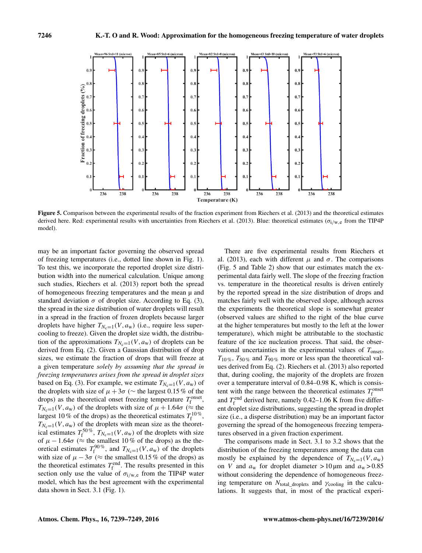

Figure 5. Comparison between the experimental results of the fraction experiment from Riechers et al. (2013) and the theoretical estimates derived here. Red: experimental results with uncertainties from Riechers et al. (2013). Blue: theoretical estimates  $(\sigma_{i/w,e}$  from the TIP4P model).

may be an important factor governing the observed spread of freezing temperatures (i.e., dotted line shown in Fig. 1). To test this, we incorporate the reported droplet size distribution width into the numerical calculation. Unique among such studies, Riechers et al. (2013) report both the spread of homogeneous freezing temperatures and the mean  $\mu$  and standard deviation  $\sigma$  of droplet size. According to Eq. (3), the spread in the size distribution of water droplets will result in a spread in the fraction of frozen droplets because larger droplets have higher  $T_{N_c=1}(V, a_w)$  (i.e., require less supercooling to freeze). Given the droplet size width, the distribution of the approximations  $T_{N_c=1}(V, a_w)$  of droplets can be derived from Eq. (2). Given a Gaussian distribution of drop sizes, we estimate the fraction of drops that will freeze at a given temperature *solely by assuming that the spread in freezing temperatures arises from the spread in droplet sizes* based on Eq. (3). For example, we estimate  $T_{N_c=1}(V, a_w)$  of the droplets with size of  $\mu + 3\sigma$  ( $\sim$  the largest 0.15 % of the drops) as the theoretical onset freezing temperature  $T_f^{\text{onset}}$ ,  $T_{N_c=1}(V, a_w)$  of the droplets with size of  $\mu + 1.64\sigma \approx$  the largest 10 % of the drops) as the theoretical estimates  $T_f^{10\%}$ ,  $T_{N_c=1}(V, a_w)$  of the droplets with mean size as the theoretical estimates  $T_f^{50\%}$ ,  $T_{N_c=1}(V, a_w)$  of the droplets with size of  $\mu - 1.64\sigma$  ( $\approx$  the smallest 10 % of the drops) as the theoretical estimates  $T_f^{90\%}$ , and  $T_{N_c=1}(V, a_w)$  of the droplets with size of  $\mu - 3\sigma$  ( $\approx$  the smallest 0.15 % of the drops) as the theoretical estimates  $T_f^{\text{end}}$ . The results presented in this section only use the value of  $\sigma_{i/w,e}$  from the TIP4P water model, which has the best agreement with the experimental data shown in Sect. 3.1 (Fig. 1).

There are five experimental results from Riechers et al. (2013), each with different  $\mu$  and  $\sigma$ . The comparisons (Fig. 5 and Table 2) show that our estimates match the experimental data fairly well. The slope of the freezing fraction vs. temperature in the theoretical results is driven entirely by the reported spread in the size distribution of drops and matches fairly well with the observed slope, although across the experiments the theoretical slope is somewhat greater (observed values are shifted to the right of the blue curve at the higher temperatures but mostly to the left at the lower temperature), which might be attributable to the stochastic feature of the ice nucleation process. That said, the observational uncertainties in the experimental values of  $T_{onset}$ ,  $T_{10\%}, T_{50\%}$  and  $T_{90\%}$  more or less span the theoretical values derived from Eq. (2). Riechers et al. (2013) also reported that, during cooling, the majority of the droplets are frozen over a temperature interval of 0.84–0.98 K, which is consistent with the range between the theoretical estimates  $T_{\rm f}^{\rm onset}$ and  $T_f^{\text{end}}$  derived here, namely 0.42–1.06 K from five different droplet size distributions, suggesting the spread in droplet size (i.e., a disperse distribution) may be an important factor governing the spread of the homogeneous freezing temperatures observed in a given fraction experiment.

The comparisons made in Sect. 3.1 to 3.2 shows that the distribution of the freezing temperatures among the data can mostly be explained by the dependence of  $T_{N_c=1}(V, a_w)$ on V and  $a_w$  for droplet diameter > 10 µm and  $a_w$  > 0.85 without considering the dependence of homogeneous freezing temperature on  $N_{\text{total\_droplets}}$  and  $\gamma_{\text{cooling}}$  in the calculations. It suggests that, in most of the practical experi-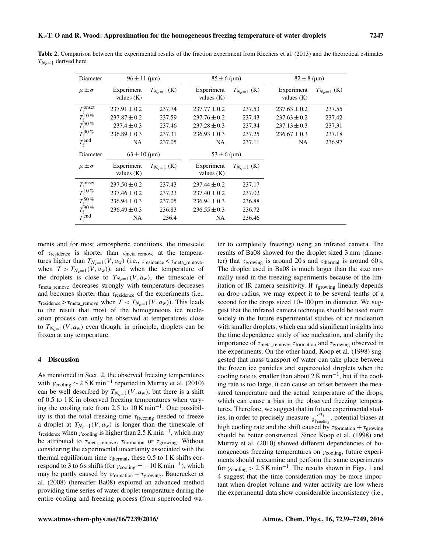| Diameter                                                                                                                                                     | $96 \pm 11$ (µm)           |                 | $85 \pm 6$ (µm)            |                 | $82 \pm 8$ (µm)            |                 |
|--------------------------------------------------------------------------------------------------------------------------------------------------------------|----------------------------|-----------------|----------------------------|-----------------|----------------------------|-----------------|
| $\mu \pm \sigma$                                                                                                                                             | Experiment<br>values $(K)$ | $T_{N_c=1}$ (K) | Experiment<br>values $(K)$ | $T_{N_c=1}$ (K) | Experiment<br>values $(K)$ | $T_{N_c=1}$ (K) |
|                                                                                                                                                              | $237.91 \pm 0.2$           | 237.74          | $237.77 \pm 0.2$           | 237.53          | $237.63 \pm 0.2$           | 237.55          |
|                                                                                                                                                              | $237.87 \pm 0.2$           | 237.59          | $237.76 \pm 0.2$           | 237.43          | $237.63 \pm 0.2$           | 237.42          |
|                                                                                                                                                              | $237.4 \pm 0.3$            | 237.46          | $237.28 \pm 0.3$           | 237.34          | $237.13 \pm 0.3$           | 237.31          |
|                                                                                                                                                              | $236.89 \pm 0.3$           | 237.31          | $236.93 \pm 0.3$           | 237.25          | $236.67 \pm 0.3$           | 237.18          |
| $\frac{T_{\rm f}^{\rm onset}}{T_{\rm f}^{10\,\%}} \ \frac{T_{\rm f}^{\rm 50\,\%}}{T_{\rm f}^{\rm 90\,\%}} \ \frac{T_{\rm f}^{\rm end}}{T_{\rm f}^{\rm end}}$ | NA.                        | 237.05          | NA.                        | 237.11          | NA.                        | 236.97          |
| Diameter                                                                                                                                                     | $63 \pm 10$ (µm)           |                 | $53 \pm 6$ (µm)            |                 |                            |                 |
| $\mu \pm \sigma$                                                                                                                                             | Experiment<br>values $(K)$ | $T_{N_c=1}$ (K) | Experiment<br>values $(K)$ | $T_{N_c=1}$ (K) |                            |                 |
| $\begin{array}{l} T_{\rm f}^{\rm onset} \\ T_{\rm f}^{\rm 10\,\%} \\ T_{\rm f}^{\rm 50\,\%} \\ T_{\rm f}^{\rm 90\,\%} \\ T_{\rm f}^{\rm end} \end{array}$    | $237.50 \pm 0.2$           | 237.43          | $237.44 \pm 0.2$           | 237.17          |                            |                 |
|                                                                                                                                                              | $237.46 \pm 0.2$           | 237.23          | $237.40 \pm 0.2$           | 237.02          |                            |                 |
|                                                                                                                                                              | $236.94 \pm 0.3$           | 237.05          | $236.94 \pm 0.3$           | 236.88          |                            |                 |
|                                                                                                                                                              | $236.49 \pm 0.3$           | 236.83          | $236.55 \pm 0.3$           | 236.72          |                            |                 |
|                                                                                                                                                              | NA                         | 236.4           | NA.                        | 236.46          |                            |                 |

Table 2. Comparison between the experimental results of the fraction experiment from Riechers et al. (2013) and the theoretical estimates  $T_{N_c=1}$  derived here.

ments and for most atmospheric conditions, the timescale of  $\tau_{\text{residence}}$  is shorter than  $\tau_{\text{meta\_remove}}$  at the temperatures higher than  $T_{N_c=1}(V, a_w)$  (i.e.,  $\tau_{residence} < \tau_{meta}$  remove, when  $T > T_{N_c=1}(V, a_w)$ , and when the temperature of the droplets is close to  $T_{N_c=1}(V, a_w)$ , the timescale of  $\tau_{meta}$  remove decreases strongly with temperature decreases and becomes shorter than  $\tau_{\text{residence}}$  of the experiments (i.e.,  $\tau_{\text{residence}} > \tau_{\text{meta\_remove}}$  when  $T < T_{N_c=1}(V, a_w)$ ). This leads to the result that most of the homogeneous ice nucleation process can only be observed at temperatures close to  $T_{N_c=1}(V, a_w)$  even though, in principle, droplets can be frozen at any temperature.

#### 4 Discussion

As mentioned in Sect. 2, the observed freezing temperatures with  $\gamma_{\text{cooling}} \sim 2.5 \text{ K min}^{-1}$  reported in Murray et al. (2010) can be well described by  $T_{N_c=1}(V, a_w)$ , but there is a shift of 0.5 to 1 K in observed freezing temperatures when varying the cooling rate from 2.5 to 10 K min−<sup>1</sup> . One possibility is that the total freezing time  $\tau_{\text{freezing}}$  needed to freeze a droplet at  $T_{N_c=1}(V, a_w)$  is longer than the timescale of  $\tau_{\text{residence}}$  when  $\gamma_{\text{cooling}}$  is higher than 2.5 K min<sup>-1</sup>, which may be attributed to  $\tau_{\text{meta\_remove}}$ ,  $\tau_{\text{formation}}$  or  $\tau_{\text{growing}}$ . Without considering the experimental uncertainty associated with the thermal equilibrium time  $\tau_{\text{thermal}}$ , these 0.5 to 1 K shifts correspond to 3 to 6 s shifts (for  $\gamma_{\text{cooling}} = -10 \,\text{K min}^{-1}$ ), which may be partly caused by  $\tau_{formation} + \tau_{growing}$ . Bauerecker et al. (2008) (hereafter Ba08) explored an advanced method providing time series of water droplet temperature during the entire cooling and freezing process (from supercooled water to completely freezing) using an infrared camera. The results of Ba08 showed for the droplet sized 3 mm (diameter) that  $\tau_{\text{growing}}$  is around 20 s and  $\tau_{\text{thermal}}$  is around 60 s. The droplet used in Ba08 is much larger than the size normally used in the freezing experiments because of the limitation of IR camera sensitivity. If  $\tau_{\text{growing}}$  linearly depends on drop radius, we may expect it to be several tenths of a second for the drops sized 10–100 µm in diameter. We suggest that the infrared camera technique should be used more widely in the future experimental studies of ice nucleation with smaller droplets, which can add significant insights into the time dependence study of ice nucleation, and clarify the importance of  $\tau_{\text{meta\_remove}}$ ,  $\tau_{\text{formation}}$  and  $\tau_{\text{growing}}$  observed in the experiments. On the other hand, Koop et al. (1998) suggested that mass transport of water can take place between the frozen ice particles and supercooled droplets when the cooling rate is smaller than about 2 K min−<sup>1</sup> , but if the cooling rate is too large, it can cause an offset between the measured temperature and the actual temperature of the drops, which can cause a bias in the observed freezing temperatures. Therefore, we suggest that in future experimental studies, in order to precisely measure  $\frac{\partial T_f}{\partial \gamma_{\text{cooling}}},$  potential biases at high cooling rate and the shift caused by  $\tau_{formation} + \tau_{growing}$ should be better constrained. Since Koop et al. (1998) and Murray et al. (2010) showed different dependencies of homogeneous freezing temperatures on  $\gamma_{\text{cooling}}$ , future experiments should reexamine and perform the same experiments for  $\gamma_{\text{cooling}} > 2.5 \,\mathrm{K \, min}^{-1}$ . The results shown in Figs. 1 and 4 suggest that the time consideration may be more important when droplet volume and water activity are low where the experimental data show considerable inconsistency (i.e.,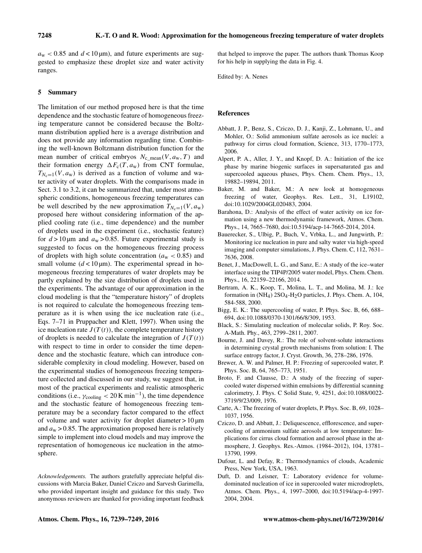$a_w$  < 0.85 and  $d$  < 10 µm), and future experiments are suggested to emphasize these droplet size and water activity ranges.

#### 5 Summary

The limitation of our method proposed here is that the time dependence and the stochastic feature of homogeneous freezing temperature cannot be considered because the Boltzmann distribution applied here is a average distribution and does not provide any information regarding time. Combining the well-known Boltzmann distribution function for the mean number of critical embryos  $N_{c\_mean}(V, a_w, T)$  and their formation energy  $\Delta F_c(T, a_w)$  from CNT formulae,  $T_{N_c=1}(V, a_w)$  is derived as a function of volume and water activity of water droplets. With the comparisons made in Sect. 3.1 to 3.2, it can be summarized that, under most atmospheric conditions, homogeneous freezing temperatures can be well described by the new approximation  $T_{N_c=1}(V, a_w)$ proposed here without considering information of the applied cooling rate (i.e., time dependence) and the number of droplets used in the experiment (i.e., stochastic feature) for  $d > 10 \mu m$  and  $a_w > 0.85$ . Future experimental study is suggested to focus on the homogeneous freezing process of droplets with high solute concentration ( $a_w < 0.85$ ) and small volume  $(d < 10 \,\mu\text{m})$ . The experimental spread in homogeneous freezing temperatures of water droplets may be partly explained by the size distribution of droplets used in the experiments. The advantage of our approximation in the cloud modeling is that the "temperature history" of droplets is not required to calculate the homogeneous freezing temperature as it is when using the ice nucleation rate (i.e., Eqs. 7–71 in Pruppacher and Klett, 1997). When using the ice nucleation rate  $J(T(t))$ , the complete temperature history of droplets is needed to calculate the integration of  $J(T(t))$ with respect to time in order to consider the time dependence and the stochastic feature, which can introduce considerable complexity in cloud modeling. However, based on the experimental studies of homogeneous freezing temperature collected and discussed in our study, we suggest that, in most of the practical experiments and realistic atmospheric conditions (i.e.,  $\gamma_{\text{cooling}} < 20 \,\text{K min}^{-1}$ ), the time dependence and the stochastic feature of homogeneous freezing temperature may be a secondary factor compared to the effect of volume and water activity for droplet diameter  $> 10 \mu m$ and  $a_w > 0.85$ . The approximation proposed here is relatively simple to implement into cloud models and may improve the representation of homogeneous ice nucleation in the atmosphere.

*Acknowledgements.* The authors gratefully appreciate helpful discussions with Marcia Baker, Daniel Cziczo and Sarvesh Garimella, who provided important insight and guidance for this study. Two anonymous reviewers are thanked for providing important feedback that helped to improve the paper. The authors thank Thomas Koop for his help in supplying the data in Fig. 4.

Edited by: A. Nenes

## References

- Abbatt, J. P., Benz, S., Cziczo, D. J., Kanji, Z., Lohmann, U., and Mohler, O.: Solid ammonium sulfate aerosols as ice nuclei: a pathway for cirrus cloud formation, Science, 313, 1770–1773, 2006.
- Alpert, P. A., Aller, J. Y., and Knopf, D. A.: Initiation of the ice phase by marine biogenic surfaces in supersaturated gas and supercooled aqueous phases, Phys. Chem. Chem. Phys., 13, 19882–19894, 2011.
- Baker, M. and Baker, M.: A new look at homogeneous freezing of water, Geophys. Res. Lett., 31, L19102, doi[:10.1029/2004GL020483,](http://dx.doi.org/10.1029/2004GL020483) 2004.
- Barahona, D.: Analysis of the effect of water activity on ice formation using a new thermodynamic framework, Atmos. Chem. Phys., 14, 7665–7680, doi[:10.5194/acp-14-7665-2014,](http://dx.doi.org/10.5194/acp-14-7665-2014) 2014.
- Bauerecker, S., Ulbig, P., Buch, V., Vrbka, L., and Jungwirth, P.: Monitoring ice nucleation in pure and salty water via high-speed imaging and computer simulations, J. Phys. Chem. C, 112, 7631– 7636, 2008.
- Benet, J., MacDowell, L. G., and Sanz, E.: A study of the ice–water interface using the TIP4P/2005 water model, Phys. Chem. Chem. Phys., 16, 22159–22166, 2014.
- Bertram, A. K., Koop, T., Molina, L. T., and Molina, M. J.: Ice formation in  $(NH_4)$  2SO<sub>4</sub>-H<sub>2</sub>O particles, J. Phys. Chem. A, 104, 584-588, 2000.
- Bigg, E. K.: The supercooling of water, P. Phys. Soc. B, 66, 688– 694, doi[:10.1088/0370-1301/66/8/309,](http://dx.doi.org/10.1088/0370-1301/66/8/309) 1953.
- Black, S.: Simulating nucleation of molecular solids, P. Roy. Soc. A-Math. Phy., 463, 2799–2811, 2007.
- Bourne, J. and Davey, R.: The role of solvent-solute interactions in determining crystal growth mechanisms from solution: I. The surface entropy factor, J. Cryst. Growth, 36, 278–286, 1976.
- Brewer, A. W. and Palmer, H. P.: Freezing of supercooled water, P. Phys. Soc. B, 64, 765–773, 1951.
- Broto, F. and Clausse, D.: A study of the freezing of supercooled water dispersed within emulsions by differential scanning calorimetry, J. Phys. C Solid State, 9, 4251, doi[:10.1088/0022-](http://dx.doi.org/10.1088/0022-3719/9/23/009) [3719/9/23/009,](http://dx.doi.org/10.1088/0022-3719/9/23/009) 1976.
- Carte, A.: The freezing of water droplets, P. Phys. Soc. B, 69, 1028– 1037, 1956.
- Cziczo, D. and Abbatt, J.: Deliquescence, efflorescence, and supercooling of ammonium sulfate aerosols at low temperature: Implications for cirrus cloud formation and aerosol phase in the atmosphere, J. Geophys. Res.-Atmos. (1984–2012), 104, 13781– 13790, 1999.
- Dufour, L. and Defay, R.: Thermodynamics of clouds, Academic Press, New York, USA, 1963.
- Duft, D. and Leisner, T.: Laboratory evidence for volumedominated nucleation of ice in supercooled water microdroplets, Atmos. Chem. Phys., 4, 1997–2000, doi[:10.5194/acp-4-1997-](http://dx.doi.org/10.5194/acp-4-1997-2004) [2004,](http://dx.doi.org/10.5194/acp-4-1997-2004) 2004.